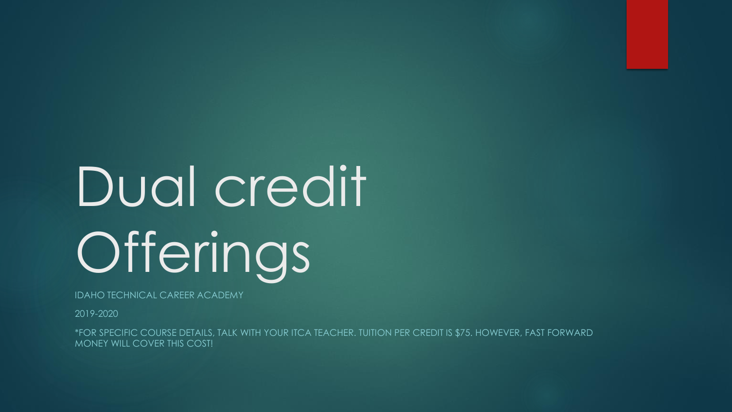# Dual credit Offerings

IDAHO TECHNICAL CAREER ACADEMY

2019-2020

\*FOR SPECIFIC COURSE DETAILS, TALK WITH YOUR ITCA TEACHER. TUITION PER CREDIT IS \$75. HOWEVER, FAST FORWARD MONEY WILL COVER THIS COST!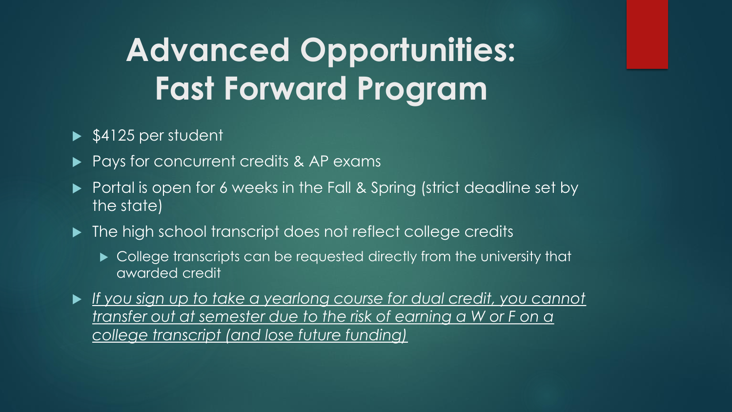## **Advanced Opportunities: Fast Forward Program**

#### $\blacktriangleright$  \$4125 per student

- Pays for concurrent credits & AP exams
- Portal is open for 6 weeks in the Fall & Spring (strict deadline set by the state)
- $\blacktriangleright$  The high school transcript does not reflect college credits
	- ► College transcripts can be requested directly from the university that awarded credit
- *If you sign up to take a yearlong course for dual credit, you cannot transfer out at semester due to the risk of earning a W or F on a college transcript (and lose future funding)*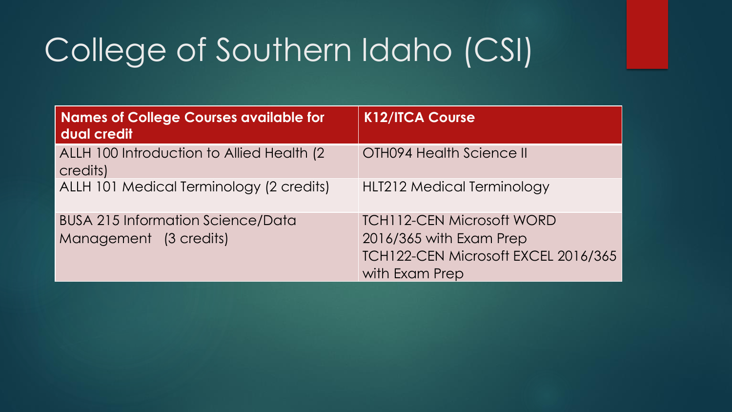## College of Southern Idaho (CSI)

| Names of College Courses available for<br>dual credit              | <b>K12/ITCA Course</b>                                                                                               |
|--------------------------------------------------------------------|----------------------------------------------------------------------------------------------------------------------|
| ALLH 100 Introduction to Allied Health (2)<br>credits)             | <b>OTH094 Health Science II</b>                                                                                      |
| ALLH 101 Medical Terminology (2 credits)                           | <b>HLT212 Medical Terminology</b>                                                                                    |
| <b>BUSA 215 Information Science/Data</b><br>Management (3 credits) | <b>TCH112-CEN Microsoft WORD</b><br>2016/365 with Exam Prep<br>TCH122-CEN Microsoft EXCEL 2016/365<br>with Exam Prep |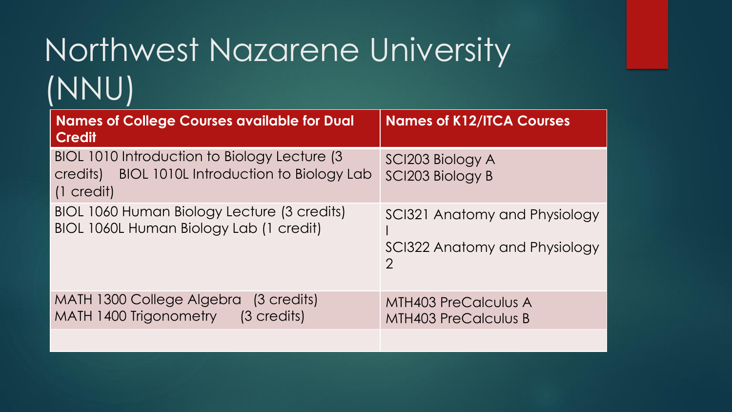## Northwest Nazarene University (NNU)

| <b>Names of College Courses available for Dual</b><br><b>Credit</b>                                                         | <b>Names of K12/ITCA Courses</b>                                                |
|-----------------------------------------------------------------------------------------------------------------------------|---------------------------------------------------------------------------------|
| BIOL 1010 Introduction to Biology Lecture (3)<br>BIOL 1010L Introduction to Biology Lab<br>credits)<br>$(1 \text{ credit})$ | SCI203 Biology A<br>SCI203 Biology B                                            |
| BIOL 1060 Human Biology Lecture (3 credits)<br>BIOL 1060L Human Biology Lab (1 credit)                                      | SCI321 Anatomy and Physiology<br>SCI322 Anatomy and Physiology<br>$\mathcal{P}$ |
| MATH 1300 College Algebra<br>(3 credits)<br>MATH 1400 Trigonometry<br>(3 credits)                                           | <b>MTH403 PreCalculus A</b><br><b>MTH403 PreCalculus B</b>                      |
|                                                                                                                             |                                                                                 |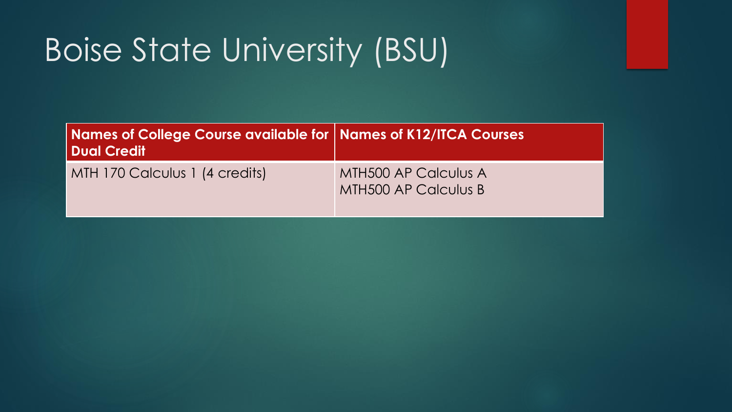## Boise State University (BSU)

| Names of College Course available for   Names of K12/ITCA Courses<br><b>Dual Credit</b> |                                                     |
|-----------------------------------------------------------------------------------------|-----------------------------------------------------|
| MTH 170 Calculus 1 (4 credits)                                                          | <b>MTH500 AP Calculus A</b><br>MTH500 AP Calculus B |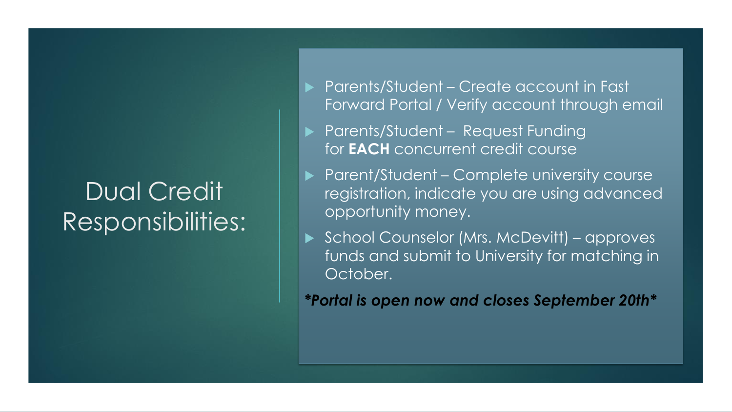### Dual Credit Responsibilities:

- ▶ Parents/Student Create account in Fast Forward Portal / Verify account through email
- ▶ Parents/Student Request Funding for **EACH** concurrent credit course
- ▶ Parent/Student Complete university course registration, indicate you are using advanced opportunity money.
- ▶ School Counselor (Mrs. McDevitt) approves funds and submit to University for matching in October.

*\*Portal is open now and closes September 20th\**